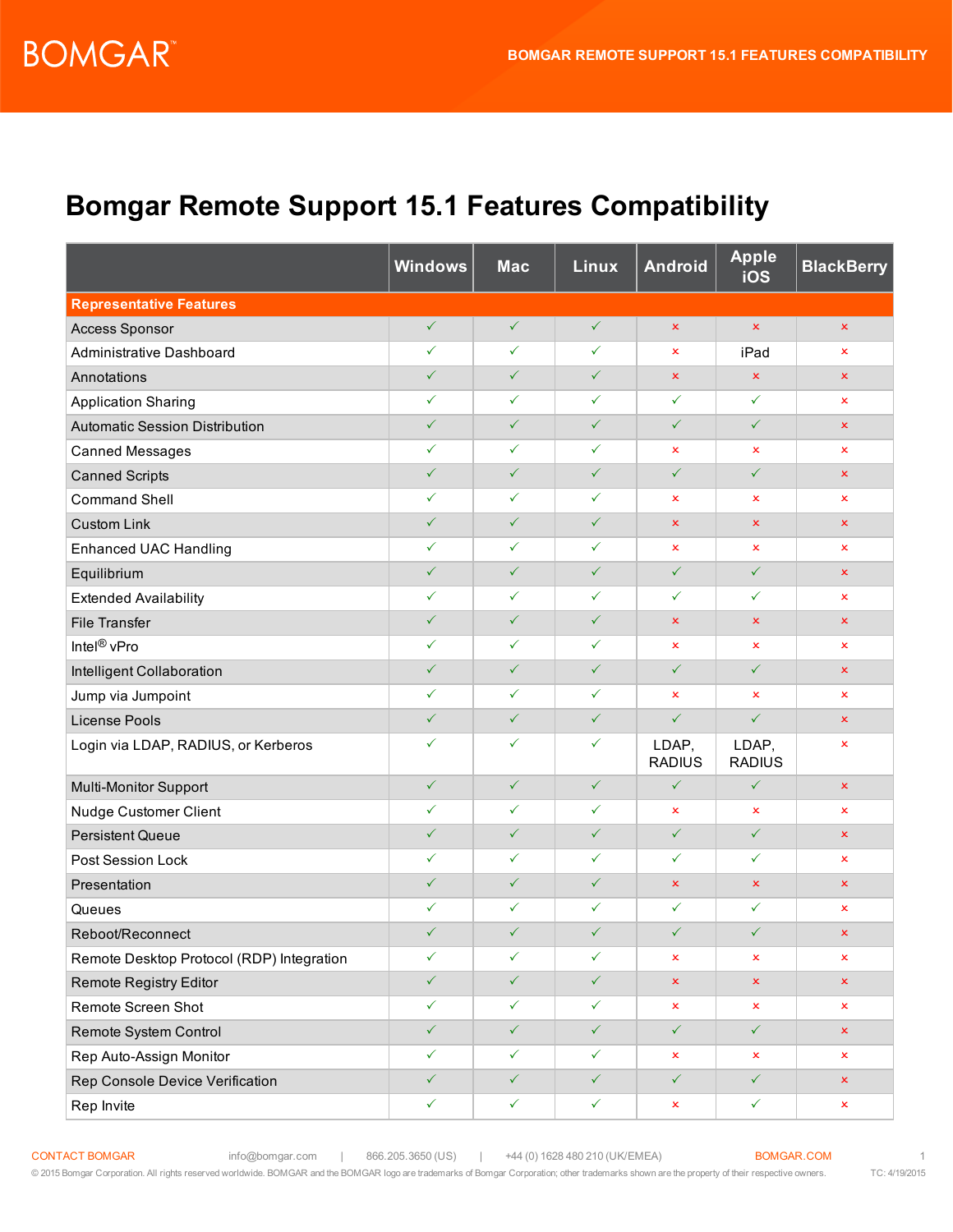## **Bomgar Remote Support 15.1 Features Compatibility**

|                                           | <b>Windows</b> | <b>Mac</b>   | Linux        | <b>Android</b>         | <b>Apple</b><br>iOS    | <b>BlackBerry</b>         |
|-------------------------------------------|----------------|--------------|--------------|------------------------|------------------------|---------------------------|
| <b>Representative Features</b>            |                |              |              |                        |                        |                           |
| <b>Access Sponsor</b>                     | $\checkmark$   | $\checkmark$ | $\checkmark$ | ×                      | $\pmb{\times}$         | $\pmb{\times}$            |
| Administrative Dashboard                  | $\checkmark$   | $\checkmark$ | $\checkmark$ | x                      | iPad                   | ×                         |
| Annotations                               | $\checkmark$   | $\checkmark$ | $\checkmark$ | $\pmb{\times}$         | ×                      | $\pmb{\times}$            |
| <b>Application Sharing</b>                | $\checkmark$   | ✓            | $\checkmark$ | $\checkmark$           | $\checkmark$           | ×                         |
| <b>Automatic Session Distribution</b>     | $\checkmark$   | $\checkmark$ | $\checkmark$ | $\checkmark$           | $\checkmark$           | $\pmb{\times}$            |
| <b>Canned Messages</b>                    | $\checkmark$   | $\checkmark$ | $\checkmark$ | ×                      | ×                      | ×                         |
| <b>Canned Scripts</b>                     | $\checkmark$   | $\checkmark$ | $\checkmark$ | $\checkmark$           | $\checkmark$           | $\pmb{\times}$            |
| <b>Command Shell</b>                      | $\checkmark$   | $\checkmark$ | $\checkmark$ | ×                      | ×                      | $\mathbf x$               |
| <b>Custom Link</b>                        | $\checkmark$   | $\checkmark$ | $\checkmark$ | $\pmb{\times}$         | ×                      | $\pmb{\times}$            |
| <b>Enhanced UAC Handling</b>              | $\checkmark$   | $\checkmark$ | $\checkmark$ | ×                      | ×                      | ×                         |
| Equilibrium                               | $\checkmark$   | $\checkmark$ | $\checkmark$ | $\checkmark$           | $\checkmark$           | $\pmb{\times}$            |
| <b>Extended Availability</b>              | $\checkmark$   | $\checkmark$ | $\checkmark$ | $\checkmark$           | $\checkmark$           | ×                         |
| <b>File Transfer</b>                      | $\checkmark$   | $\checkmark$ | $\checkmark$ | ×                      | ×                      | $\pmb{\times}$            |
| Intel <sup>®</sup> vPro                   | $\checkmark$   | $\checkmark$ | $\checkmark$ | x                      | ×                      | ×                         |
| Intelligent Collaboration                 | $\checkmark$   | $\checkmark$ | $\checkmark$ | $\checkmark$           | $\checkmark$           | $\pmb{\times}$            |
| Jump via Jumpoint                         | $\checkmark$   | $\checkmark$ | $\checkmark$ | x                      | x                      | $\mathbf x$               |
| License Pools                             | $\checkmark$   | $\checkmark$ | $\checkmark$ | $\checkmark$           | $\checkmark$           | $\pmb{\times}$            |
| Login via LDAP, RADIUS, or Kerberos       | $\checkmark$   | $\checkmark$ | ✓            | LDAP,<br><b>RADIUS</b> | LDAP,<br><b>RADIUS</b> | ×                         |
| Multi-Monitor Support                     | $\checkmark$   | $\checkmark$ | $\checkmark$ | $\checkmark$           | $\checkmark$           | $\pmb{\times}$            |
| Nudge Customer Client                     | $\checkmark$   | $\checkmark$ | $\checkmark$ | x                      | x                      | ×                         |
| <b>Persistent Queue</b>                   | $\checkmark$   | $\checkmark$ | $\checkmark$ | $\checkmark$           | $\checkmark$           | $\pmb{\times}$            |
| <b>Post Session Lock</b>                  | $\checkmark$   | ✓            | ✓            | ✓                      | ✓                      | $\mathsf{x}$              |
| Presentation                              | $\checkmark$   | $\checkmark$ | $\checkmark$ | ×                      | x                      | $\mathbf x$               |
| Queues                                    | $\checkmark$   | $\checkmark$ | $\checkmark$ | $\checkmark$           | ✓                      | ×                         |
| Reboot/Reconnect                          | $\checkmark$   | $\checkmark$ | $\checkmark$ | $\checkmark$           | $\checkmark$           | $\boldsymbol{\mathsf{x}}$ |
| Remote Desktop Protocol (RDP) Integration | $\checkmark$   | $\checkmark$ | $\checkmark$ | x                      | ×                      | $\mathbf x$               |
| <b>Remote Registry Editor</b>             | $\checkmark$   | $\checkmark$ | $\checkmark$ | $\pmb{\times}$         | ×                      | $\pmb{\times}$            |
| Remote Screen Shot                        | $\checkmark$   | $\checkmark$ | $\checkmark$ | x                      | ×                      | ×                         |
| Remote System Control                     | $\checkmark$   | $\checkmark$ | $\checkmark$ | $\checkmark$           | $\checkmark$           | $\pmb{\times}$            |
| Rep Auto-Assign Monitor                   | $\checkmark$   | $\checkmark$ | $\checkmark$ | x                      | ×                      | $\mathbf x$               |
| Rep Console Device Verification           | $\checkmark$   | $\checkmark$ | $\checkmark$ | $\checkmark$           | $\checkmark$           | $\pmb{\times}$            |
| Rep Invite                                | $\checkmark$   | $\checkmark$ | $\checkmark$ | ×                      | $\checkmark$           | ×                         |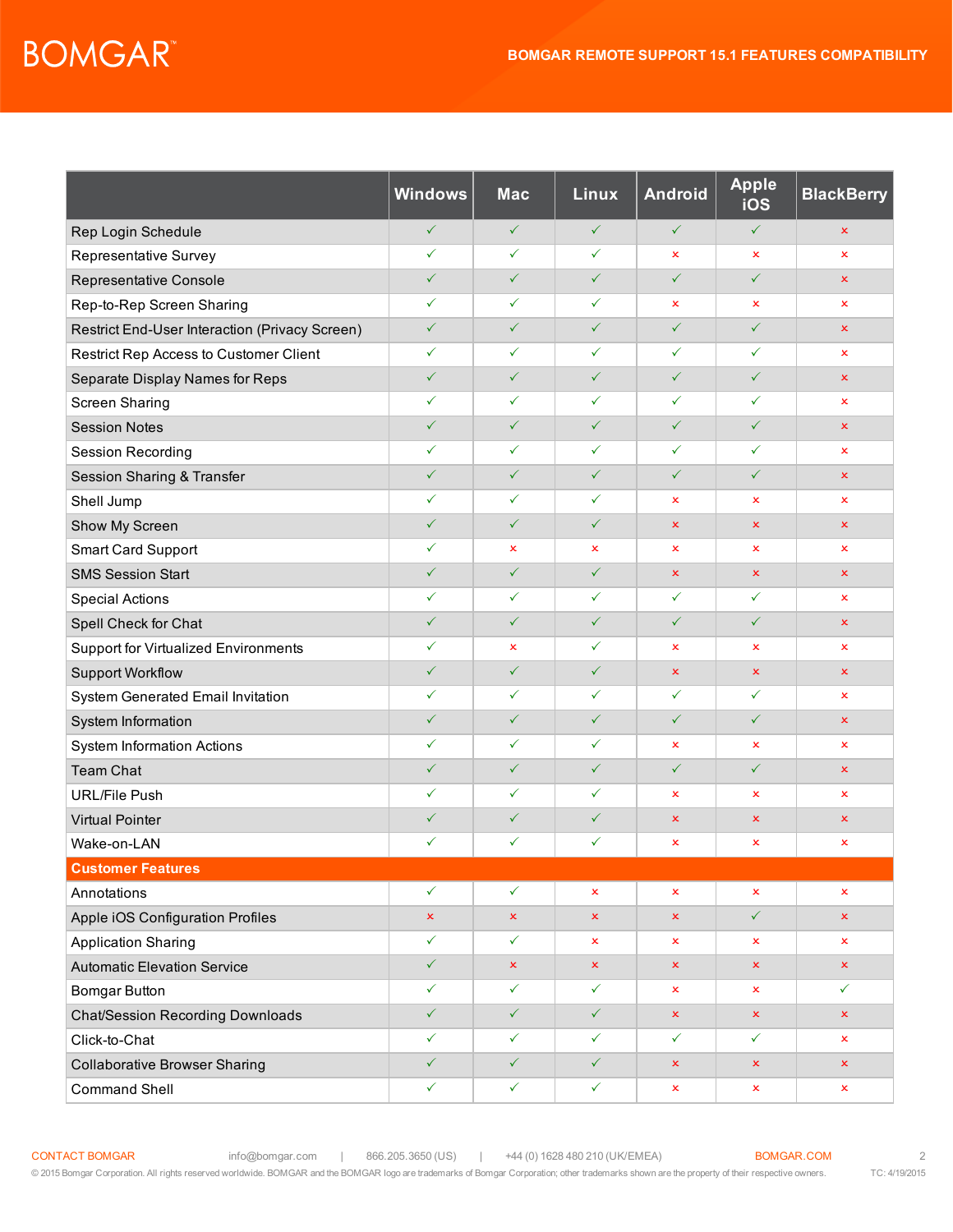## **BOMGAR**

|                                                | <b>Windows</b> | <b>Mac</b>     | <b>Linux</b>   | <b>Android</b> | <b>Apple</b><br>iOS | <b>BlackBerry</b> |
|------------------------------------------------|----------------|----------------|----------------|----------------|---------------------|-------------------|
| Rep Login Schedule                             | $\checkmark$   | $\checkmark$   | $\checkmark$   | $\checkmark$   | $\checkmark$        | ×                 |
| Representative Survey                          | $\checkmark$   | ✓              | ✓              | x              | $\pmb{\times}$      | ×                 |
| Representative Console                         | $\checkmark$   | $\checkmark$   | $\checkmark$   | $\checkmark$   | $\checkmark$        | $\pmb{\times}$    |
| Rep-to-Rep Screen Sharing                      | ✓              | ✓              | ✓              | $\mathsf{x}$   | ×                   | ×                 |
| Restrict End-User Interaction (Privacy Screen) | $\checkmark$   | $\checkmark$   | $\checkmark$   | $\checkmark$   | $\checkmark$        | ×                 |
| Restrict Rep Access to Customer Client         | ✓              | ✓              | $\checkmark$   | $\checkmark$   | ✓                   | ×                 |
| Separate Display Names for Reps                | $\checkmark$   | $\checkmark$   | $\checkmark$   | $\checkmark$   | $\checkmark$        | $\pmb{\times}$    |
| Screen Sharing                                 | $\checkmark$   | $\checkmark$   | $\checkmark$   | $\checkmark$   | $\checkmark$        | ×                 |
| <b>Session Notes</b>                           | $\checkmark$   | $\checkmark$   | $\checkmark$   | $\checkmark$   | $\checkmark$        | ×                 |
| <b>Session Recording</b>                       | $\checkmark$   | $\checkmark$   | $\checkmark$   | $\checkmark$   | $\checkmark$        | ×                 |
| Session Sharing & Transfer                     | $\checkmark$   | $\checkmark$   | $\checkmark$   | $\checkmark$   | $\checkmark$        | ×                 |
| Shell Jump                                     | ✓              | ✓              | $\checkmark$   | x              | ×                   | x                 |
| Show My Screen                                 | $\checkmark$   | $\checkmark$   | $\checkmark$   | ×              | ×                   | ×                 |
| Smart Card Support                             | ✓              | $\pmb{\times}$ | $\pmb{\times}$ | $\pmb{\times}$ | $\pmb{\times}$      | ×                 |
| <b>SMS Session Start</b>                       | $\checkmark$   | $\checkmark$   | $\checkmark$   | $\pmb{\times}$ | $\pmb{\times}$      | ×                 |
| <b>Special Actions</b>                         | $\checkmark$   | ✓              | $\checkmark$   | $\checkmark$   | $\checkmark$        | ×                 |
| Spell Check for Chat                           | $\checkmark$   | $\checkmark$   | $\checkmark$   | $\checkmark$   | $\checkmark$        | ×                 |
| Support for Virtualized Environments           | $\checkmark$   | $\mathbf x$    | $\checkmark$   | x              | ×                   | ×                 |
| <b>Support Workflow</b>                        | $\checkmark$   | $\checkmark$   | $\checkmark$   | ×              | $\pmb{\times}$      | $\pmb{\times}$    |
| System Generated Email Invitation              | ✓              | ✓              | ✓              | $\checkmark$   | ✓                   | ×                 |
| System Information                             | $\checkmark$   | $\checkmark$   | $\checkmark$   | $\checkmark$   | $\checkmark$        | ×                 |
| <b>System Information Actions</b>              | $\checkmark$   | ✓              | $\checkmark$   | ×              | $\pmb{\times}$      | x                 |
| <b>Team Chat</b>                               | $\checkmark$   | $\checkmark$   | $\checkmark$   | $\checkmark$   | $\checkmark$        | $\pmb{\times}$    |
| <b>URL/File Push</b>                           | ✓              | ✓              | $\checkmark$   | x              | $\pmb{\times}$      | ×                 |
| <b>Virtual Pointer</b>                         | $\checkmark$   | $\checkmark$   | $\checkmark$   | ×              | $\pmb{\times}$      | ×                 |
| Wake-on-LAN                                    | ✓              | ✓              | ✓              | ×              | ×                   | ×                 |
| <b>Customer Features</b>                       |                |                |                |                |                     |                   |
| Annotations                                    | $\checkmark$   | $\checkmark$   | $\mathbf x$    | $\mathbf x$    | $\mathbf x$         | x                 |
| Apple iOS Configuration Profiles               | $\pmb{\times}$ | $\pmb{\times}$ | $\mathsf{x}$   | $\pmb{\times}$ | $\checkmark$        | ×                 |
| <b>Application Sharing</b>                     | ✓              | $\checkmark$   | x              | ×              | ×                   | ×                 |
| <b>Automatic Elevation Service</b>             | $\checkmark$   | $\pmb{\times}$ | $\mathbf{x}$   | $\pmb{\times}$ | $\pmb{\times}$      | $\mathsf{x}$      |
| <b>Bomgar Button</b>                           | $\checkmark$   | $\checkmark$   | $\checkmark$   | x              | $\mathsf{x}$        | $\checkmark$      |
| <b>Chat/Session Recording Downloads</b>        | $\checkmark$   | $\checkmark$   | $\checkmark$   | $\pmb{\times}$ | $\pmb{\times}$      | $\pmb{\times}$    |
| Click-to-Chat                                  | ✓              | $\checkmark$   | $\checkmark$   | $\checkmark$   | $\checkmark$        | x                 |
| <b>Collaborative Browser Sharing</b>           | $\checkmark$   | $\checkmark$   | $\checkmark$   | $\pmb{\times}$ | $\pmb{\times}$      | $\pmb{\times}$    |
| <b>Command Shell</b>                           | $\checkmark$   | $\checkmark$   | $\checkmark$   | $\pmb{\times}$ | $\pmb{\times}$      | ×                 |